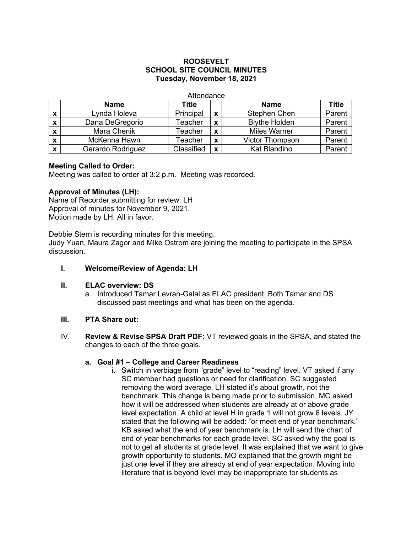# **ROOSEVELT SCHOOL SITE COUNCIL MINUTES Tuesday, November 18, 2021**

**Attendance** 

|                           | <b>Name</b>       | <b>Title</b> |   | <b>Name</b>            | <b>Title</b> |
|---------------------------|-------------------|--------------|---|------------------------|--------------|
| X                         | Lynda Holeva      | Principal    | X | Stephen Chen           | Parent       |
| X                         | Dana DeGregorio   | Teacher      | X | <b>Blythe Holden</b>   | Parent       |
| X                         | Mara Chenik       | Teacher      | X | <b>Miles Warner</b>    | Parent       |
| $\boldsymbol{\mathsf{x}}$ | McKenna Hawn      | Teacher      | X | <b>Victor Thompson</b> | Parent       |
| х                         | Gerardo Rodriguez | Classified   | X | <b>Kat Blandino</b>    | Parent       |

## **Meeting Called to Order:**

Meeting was called to order at 3:2 p.m. Meeting was recorded.

## **Approval of Minutes (LH):**

Name of Recorder submitting for review: LH Approval of minutes for November 9, 2021. Motion made by LH. All in favor.

Debbie Stern is recording minutes for this meeting. Judy Yuan, Maura Zagor and Mike Ostrom are joining the meeting to participate in the SPSA discussion.

**I. Welcome/Review of Agenda: LH**

## **II. ELAC overview: DS**

a. Introduced Tamar Levran-Galai as ELAC president. Both Tamar and DS discussed past meetings and what has been on the agenda.

## **III. PTA Share out:**

IV. **Review & Revise SPSA Draft PDF:** VT reviewed goals in the SPSA, and stated the changes to each of the three goals.

#### **a. Goal #1 – College and Career Readiness**

i. Switch in verbiage from "grade" level to "reading" level. VT asked if any SC member had questions or need for clarification. SC suggested removing the word average. LH stated it's about growth, not the benchmark. This change is being made prior to submission. MC asked how it will be addressed when students are already at or above grade level expectation. A child at level H in grade 1 will not grow 6 levels. JY stated that the following will be added: "or meet end of year benchmark." KB asked what the end of year benchmark is. LH will send the chart of end of year benchmarks for each grade level. SC asked why the goal is not to get all students at grade level. It was explained that we want to give growth opportunity to students. MO explained that the growth might be just one level if they are already at end of year expectation. Moving into literature that is beyond level may be inappropriate for students as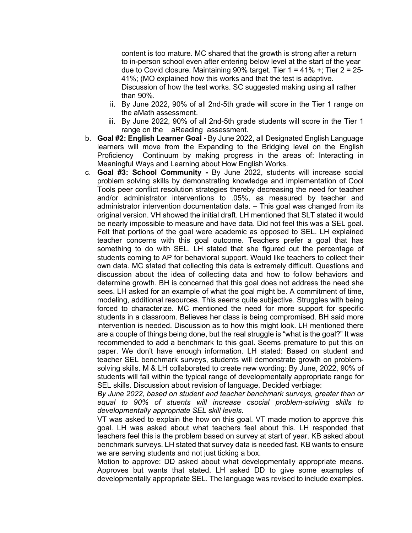content is too mature. MC shared that the growth is strong after a return to in-person school even after entering below level at the start of the year due to Covid closure. Maintaining 90% target. Tier  $1 = 41\% +$ ; Tier  $2 = 25$ -41%; (MO explained how this works and that the test is adaptive. Discussion of how the test works. SC suggested making using all rather than 90%.

- ii. By June 2022, 90% of all 2nd-5th grade will score in the Tier 1 range on the aMath assessment.
- iii. By June 2022, 90% of all 2nd-5th grade students will score in the Tier 1 range on the aReading assessment.
- b. **Goal #2: English Learner Goal -** By June 2022, all Designated English Language learners will move from the Expanding to the Bridging level on the English Proficiency Continuum by making progress in the areas of: Interacting in Meaningful Ways and Learning about How English Works.
- c. **Goal #3: School Community -** By June 2022, students will increase social problem solving skills by demonstrating knowledge and implementation of Cool Tools peer conflict resolution strategies thereby decreasing the need for teacher and/or administrator interventions to .05%, as measured by teacher and administrator intervention documentation data. – This goal was changed from its original version. VH showed the initial draft. LH mentioned that SLT stated it would be nearly impossible to measure and have data. Did not feel this was a SEL goal. Felt that portions of the goal were academic as opposed to SEL. LH explained teacher concerns with this goal outcome. Teachers prefer a goal that has something to do with SEL. LH stated that she figured out the percentage of students coming to AP for behavioral support. Would like teachers to collect their own data. MC stated that collecting this data is extremely difficult. Questions and discussion about the idea of collecting data and how to follow behaviors and determine growth. BH is concerned that this goal does not address the need she sees. LH asked for an example of what the goal might be. A commitment of time, modeling, additional resources. This seems quite subjective. Struggles with being forced to characterize. MC mentioned the need for more support for specific students in a classroom. Believes her class is being compromised. BH said more intervention is needed. Discussion as to how this might look. LH mentioned there are a couple of things being done, but the real struggle is "what is the goal?" It was recommended to add a benchmark to this goal. Seems premature to put this on paper. We don't have enough information. LH stated: Based on student and teacher SEL benchmark surveys, students will demonstrate growth on problemsolving skills. M & LH collaborated to create new wording: By June, 2022, 90% of students will fall within the typical range of developmentally appropriate range for SEL skills. Discussion about revision of language. Decided verbiage:

*By June 2022, based on student and teacher benchmark surveys, greater than or equal to 90% of stuents will increase csocial problem-solviing skills to developmentally appropriate SEL skill levels.* 

VT was asked to explain the how on this goal. VT made motion to approve this goal. LH was asked about what teachers feel about this. LH responded that teachers feel this is the problem based on survey at start of year. KB asked about benchmark surveys. LH stated that survey data is needed fast. KB wants to ensure we are serving students and not just ticking a box.

Motion to approve: DD asked about what developmentally appropriate means. Approves but wants that stated. LH asked DD to give some examples of developmentally appropriate SEL. The language was revised to include examples.